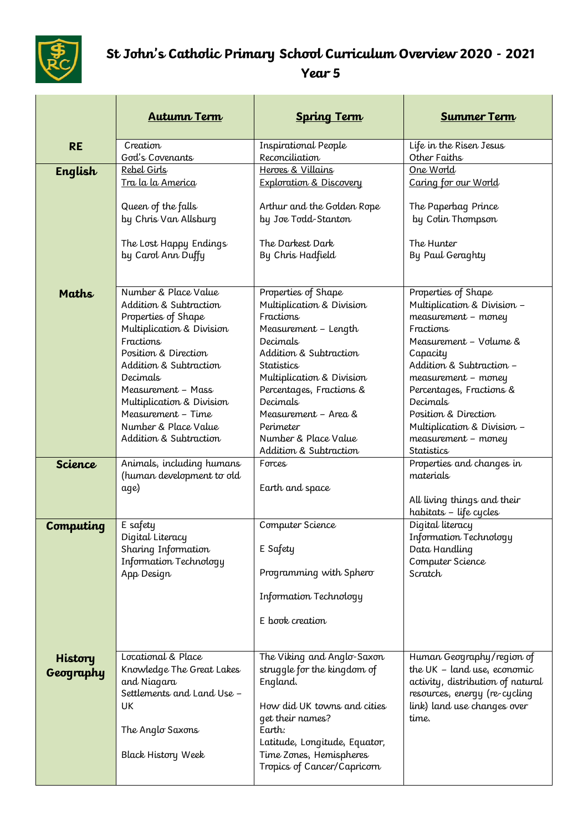

## **St John's Catholic Primary School Curriculum Overview 2020 - 2021 Year 5**

|                      | <b>Autumn Term</b>                                                                                                                                                                                                                                                                                              | <b>Spring Term</b>                                                                                                                                                                                                                                                                                           | <b>Summer Term</b>                                                                                                                                                                                                                                                                                                         |
|----------------------|-----------------------------------------------------------------------------------------------------------------------------------------------------------------------------------------------------------------------------------------------------------------------------------------------------------------|--------------------------------------------------------------------------------------------------------------------------------------------------------------------------------------------------------------------------------------------------------------------------------------------------------------|----------------------------------------------------------------------------------------------------------------------------------------------------------------------------------------------------------------------------------------------------------------------------------------------------------------------------|
| <b>RE</b>            | Creation<br>God's Covenants                                                                                                                                                                                                                                                                                     | Inspirational People<br>Reconciliation                                                                                                                                                                                                                                                                       | Life in the Risen Jesus<br>Other Faiths                                                                                                                                                                                                                                                                                    |
| English              | Rebel Girls<br><u>Tra la la America</u><br>Queen of the falls<br>by Chris Van Allsburg<br>The Lost Happy Endings<br>by Carol Ann Duffy                                                                                                                                                                          | Heroes & Villains<br><b>Exploration &amp; Discovery</b><br>Arthur and the Golden Rope<br>by Joe Todd-Stanton<br>The Darkest Dark<br>By Chris Hadfield                                                                                                                                                        | One World<br>Caring for our World<br>The Paperbag Prince<br>by Colin Thompson<br>The Hunter<br>By Paul Geraghty                                                                                                                                                                                                            |
| <b>Maths</b>         | Number & Place Value<br>Addition & Subtraction<br>Properties of Shape<br>Multiplication & Division<br><b>Fractions</b><br>Position & Direction<br>Addition & Subtraction<br>Decimals<br>Measurement - Mass<br>Multiplication & Division<br>Measurement - Time<br>Number & Place Value<br>Addition & Subtraction | Properties of Shape<br>Multiplication & Division<br>Fractions<br>Measurement - Length<br>Decimals<br>Addition & Subtraction<br>Statistics<br>Multiplication & Division<br>Percentages, Fractions &<br><b>Decimals</b><br>Measurement - Area &<br>Perimeter<br>Number & Place Value<br>Addition & Subtraction | Properties of Shape<br>Multiplication & Division -<br>measurement - money<br>Fractions<br>Measurement - Volume &<br>Capacity<br>Addition & Subtraction -<br>measurement - money<br>Percentages, Fractions &<br>Decimals<br>Position & Direction<br>Multiplication & Division -<br>measurement - money<br><b>Statistics</b> |
| <b>Science</b>       | Animals, including humans<br>(human development to old<br>age)                                                                                                                                                                                                                                                  | Forces<br>Earth and space                                                                                                                                                                                                                                                                                    | Properties and changes in<br>materials<br>All living things and their<br>habitats - life cycles                                                                                                                                                                                                                            |
| Computing            | E safety<br>Digital Literacy<br>Sharing Information<br>Information Technology<br>App Design                                                                                                                                                                                                                     | Computer Science<br>E Safety<br>Programming with Sphero<br>Information Technology<br>E book creation                                                                                                                                                                                                         | Digital literacy<br>Information Technology<br>Data Handling<br>Computer Science<br>Scratch                                                                                                                                                                                                                                 |
| History<br>Geography | Locational & Place<br>Knowledge The Great Lakes<br>and Niagara<br>Settlements and Land Use -<br>UK<br>The Anglo Saxons<br><b>Black History Week</b>                                                                                                                                                             | The Viking and Anglo-Saxon<br>struggle for the kingdom of<br>England.<br>How did UK towns and cities<br>get their names?<br>Earth:<br>Latitude, Longitude, Equator,<br>Time Zones, Hemispheres<br>Tropics of Cancer/Capricorn                                                                                | Human Geography/region of<br>the $UK - land$ use, economic<br>activity, distribution of natural<br>resources, energy (re-cycling<br>link) land use changes over<br>time.                                                                                                                                                   |